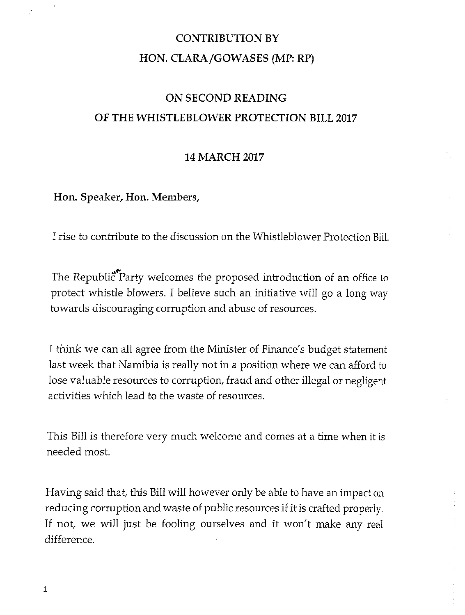## **CONTRIBUTION BY HON. CLARA/GOWASES (MP: RP)**

## **ON SECOND READING OF THE WHISTLEBLOWER PROTECTION BILL 2017**

#### **14 MARCH 2017**

#### **Hon. Speaker, Hon. Members,**

I rise to contribute to the discussion on the Whistleblower Protection Bill.

The Republic<sup>\*</sup>Party welcomes the proposed introduction of an office to protect whistle blowers. I believe such an initiative will go a long way towards discouraging corruption and abuse of resources.

I think we can all agree from the Minister of Finance's budget statement last week that Namibia is really not in a position where we can afford to lose valuable resources to corruption, fraud and other illegal or negligent activities which lead to the waste of resources.

This Bill is therefore very much welcome and comes at a time when it is needed most.

Having said that, this Billwill however only be able to have an impact on reducing corruption and waste of public resources if it is crafted properly. If not, we will just be fooling ourselves and it won't make any real difference.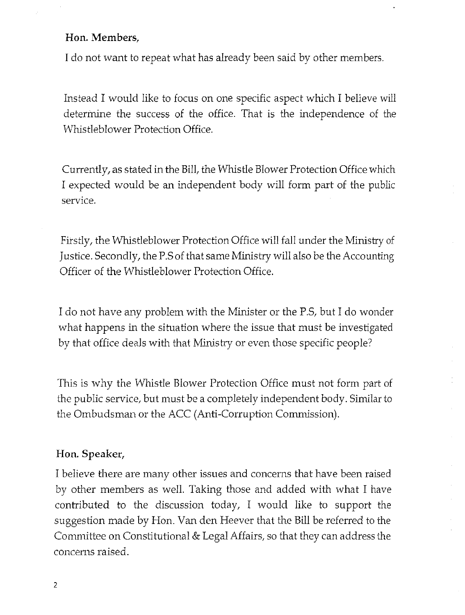### **Hon. Members,**

I do not want to repeat what has already been said by other members.

Instead I would like to focus on one specific aspect which I believe will determine the success of the office. That is the independence of the Whistleblower Protection Office.

Currently, as stated in the Bill, the Whistle Blower Protection Office which I expected would be an independent body will form part of the public service.

Firstly, the Whistleblower Protection Office will fall under the Ministry of Justice. Secondly, the P.S of that same Ministry will also be the Accounting Officer of the Whistleblower Protection Office.

I do not have any problem with the Minister or the P.S, but I do wonder what happens in the situation where the issue that must be investigated by that office deals with that Ministry or even those specific people?

This is why the Whistle Blower Protection Office must not form part of the public service, but must be a completely independent body. Similar to the Ombudsman or the *ACC* (Anti-Corruption Commission).

#### **Hon. Speaker,**

I believe there are many other issues and concerns that have been raised by other members as well. Taking those and added with what I have contributed to the discussion today, I would like to support the suggestion made by Hon. Van den Heever that the Bill be referred to the Committee on Constitutional & Legal Affairs, so that they can address the concerns raised.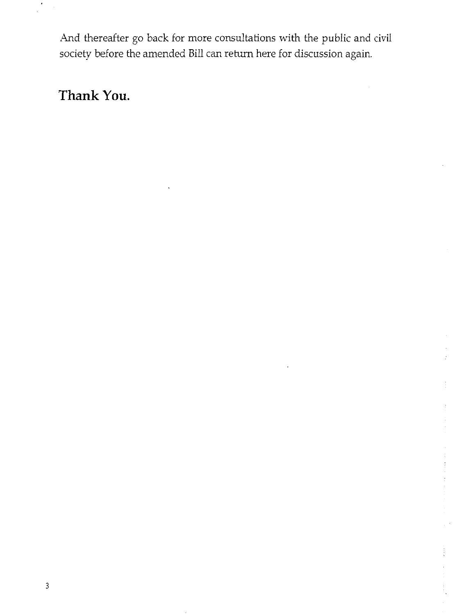And thereafter go back for more consultations with the public and civil society before the amended Bill can return here for discussion again.

# **Thank You.**